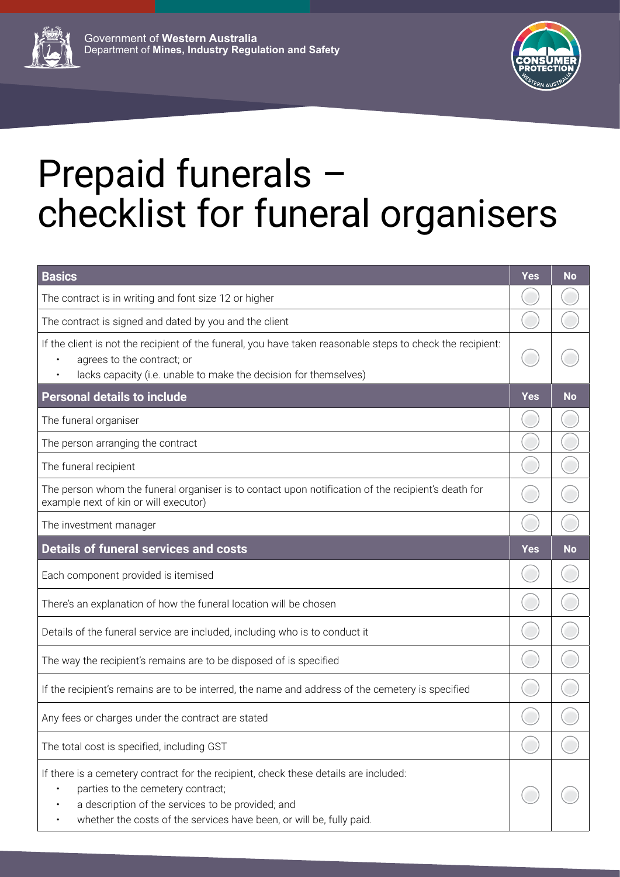



## Prepaid funerals – checklist for funeral organisers

| <b>Basics</b>                                                                                                                                                                                                                                          | <b>Yes</b> | <b>No</b> |
|--------------------------------------------------------------------------------------------------------------------------------------------------------------------------------------------------------------------------------------------------------|------------|-----------|
| The contract is in writing and font size 12 or higher                                                                                                                                                                                                  |            |           |
| The contract is signed and dated by you and the client                                                                                                                                                                                                 |            |           |
| If the client is not the recipient of the funeral, you have taken reasonable steps to check the recipient:<br>agrees to the contract; or<br>lacks capacity (i.e. unable to make the decision for themselves)                                           |            |           |
| <b>Personal details to include</b>                                                                                                                                                                                                                     | <b>Yes</b> | <b>No</b> |
| The funeral organiser                                                                                                                                                                                                                                  |            |           |
| The person arranging the contract                                                                                                                                                                                                                      |            |           |
| The funeral recipient                                                                                                                                                                                                                                  |            |           |
| The person whom the funeral organiser is to contact upon notification of the recipient's death for<br>example next of kin or will executor)                                                                                                            |            |           |
| The investment manager                                                                                                                                                                                                                                 |            |           |
| <b>Details of funeral services and costs</b>                                                                                                                                                                                                           | Yes        | <b>No</b> |
| Each component provided is itemised                                                                                                                                                                                                                    |            |           |
| There's an explanation of how the funeral location will be chosen                                                                                                                                                                                      |            |           |
| Details of the funeral service are included, including who is to conduct it                                                                                                                                                                            |            |           |
| The way the recipient's remains are to be disposed of is specified                                                                                                                                                                                     |            |           |
| If the recipient's remains are to be interred, the name and address of the cemetery is specified                                                                                                                                                       |            |           |
| Any fees or charges under the contract are stated                                                                                                                                                                                                      |            |           |
| The total cost is specified, including GST                                                                                                                                                                                                             |            |           |
| If there is a cemetery contract for the recipient, check these details are included:<br>parties to the cemetery contract;<br>a description of the services to be provided; and<br>whether the costs of the services have been, or will be, fully paid. |            |           |